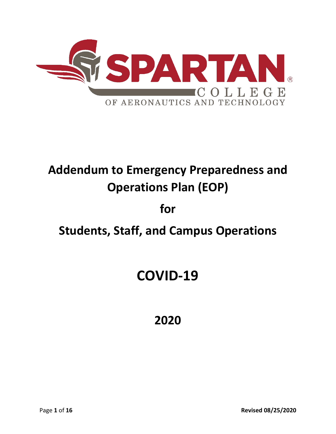

# **Addendum to Emergency Preparedness and Operations Plan (EOP)**

## **for**

## **Students, Staff, and Campus Operations**

# **COVID-19**

## **2020**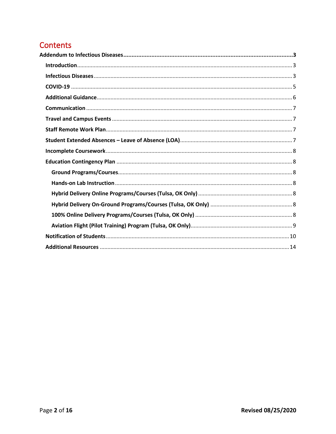## **Contents**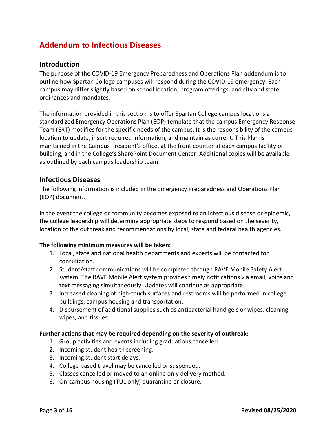## <span id="page-2-0"></span>**Addendum to Infectious Diseases**

## <span id="page-2-1"></span>**Introduction**

The purpose of the COVID-19 Emergency Preparedness and Operations Plan addendum is to outline how Spartan College campuses will respond during the COVID-19 emergency. Each campus may differ slightly based on school location, program offerings, and city and state ordinances and mandates.

The information provided in this section is to offer Spartan College campus locations a standardized Emergency Operations Plan (EOP) template that the campus Emergency Response Team (ERT) modifies for the specific needs of the campus. It is the responsibility of the campus location to update, insert required information, and maintain as current. This Plan is maintained in the Campus President's office, at the front counter at each campus facility or building, and in the College's SharePoint Document Center. Additional copies will be available as outlined by each campus leadership team.

## <span id="page-2-2"></span>**Infectious Diseases**

The following information is included in the Emergency Preparedness and Operations Plan (EOP) document.

In the event the college or community becomes exposed to an infectious disease or epidemic, the college leadership will determine appropriate steps to respond based on the severity, location of the outbreak and recommendations by local, state and federal health agencies.

## **The following minimum measures will be taken:**

- 1. Local, state and national health departments and experts will be contacted for consultation.
- 2. Student/staff communications will be completed through RAVE Mobile Safety Alert system. The RAVE Mobile Alert system provides timely notifications via email, voice and text messaging simultaneously. Updates will continue as appropriate.
- 3. Increased cleaning of high-touch surfaces and restrooms will be performed in college buildings, campus housing and transportation.
- 4. Disbursement of additional supplies such as antibacterial hand gels or wipes, cleaning wipes, and tissues.

#### **Further actions that may be required depending on the severity of outbreak:**

- 1. Group activities and events including graduations cancelled.
- 2. Incoming student health screening.
- 3. Incoming student start delays.
- 4. College based travel may be cancelled or suspended.
- 5. Classes cancelled or moved to an online only delivery method.
- 6. On-campus housing (TUL only) quarantine or closure.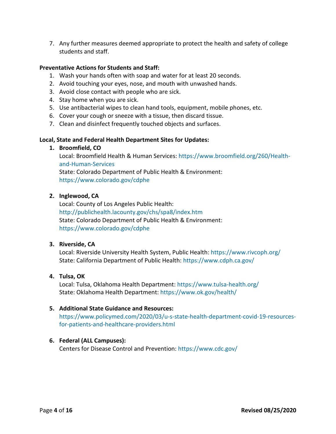7. Any further measures deemed appropriate to protect the health and safety of college students and staff.

## **Preventative Actions for Students and Staff:**

- 1. Wash your hands often with soap and water for at least 20 seconds.
- 2. Avoid touching your eyes, nose, and mouth with unwashed hands.
- 3. Avoid close contact with people who are sick.
- 4. Stay home when you are sick.
- 5. Use antibacterial wipes to clean hand tools, equipment, mobile phones, etc.
- 6. Cover your cough or sneeze with a tissue, then discard tissue.
- 7. Clean and disinfect frequently touched objects and surfaces.

## **Local, State and Federal Health Department Sites for Updates:**

## **1. Broomfield, CO**

Local: Broomfield Health & Human Services: https://www.broomfield.org/260/Healthand-Human-Services State: Colorado Department of Public Health & Environment: https://www.colorado.gov/cdphe

## **2. Inglewood, CA**

Local: County of Los Angeles Public Health: http://publichealth.lacounty.gov/chs/spa8/index.htm State: Colorado Department of Public Health & Environment: https://www.colorado.gov/cdphe

## **3. Riverside, CA**

Local: Riverside University Health System, Public Health: https://www.rivcoph.org/ State: California Department of Public Health: https://www.cdph.ca.gov/

## **4. Tulsa, OK**

Local: Tulsa, Oklahoma Health Department: https://www.tulsa-health.org/ State: Oklahoma Health Department: https://www.ok.gov/health/

## **5. Additional State Guidance and Resources:**

https://www.policymed.com/2020/03/u-s-state-health-department-covid-19-resourcesfor-patients-and-healthcare-providers.html

## **6. Federal (ALL Campuses):**

Centers for Disease Control and Prevention: https://www.cdc.gov/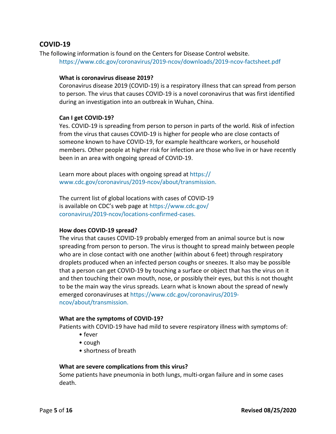## <span id="page-4-0"></span>**COVID-19**

The following information is found on the Centers for Disease Control website. https://www.cdc.gov/coronavirus/2019-ncov/downloads/2019-ncov-factsheet.pdf

#### **What is coronavirus disease 2019?**

Coronavirus disease 2019 (COVID-19) is a respiratory illness that can spread from person to person. The virus that causes COVID-19 is a novel coronavirus that was first identified during an investigation into an outbreak in Wuhan, China.

## **Can I get COVID-19?**

Yes. COVID-19 is spreading from person to person in parts of the world. Risk of infection from the virus that causes COVID-19 is higher for people who are close contacts of someone known to have COVID-19, for example healthcare workers, or household members. Other people at higher risk for infection are those who live in or have recently been in an area with ongoing spread of COVID-19.

Learn more about places with ongoing spread at https:// www.cdc.gov/coronavirus/2019-ncov/about/transmission.

The current list of global locations with cases of COVID-19 is available on CDC's web page at https://www.cdc.gov/ coronavirus/2019-ncov/locations-confirmed-cases.

## **How does COVID-19 spread?**

The virus that causes COVID-19 probably emerged from an animal source but is now spreading from person to person. The virus is thought to spread mainly between people who are in close contact with one another (within about 6 feet) through respiratory droplets produced when an infected person coughs or sneezes. It also may be possible that a person can get COVID-19 by touching a surface or object that has the virus on it and then touching their own mouth, nose, or possibly their eyes, but this is not thought to be the main way the virus spreads. Learn what is known about the spread of newly emerged coronaviruses at https://www.cdc.gov/coronavirus/2019 ncov/about/transmission.

#### **What are the symptoms of COVID-19?**

Patients with COVID-19 have had mild to severe respiratory illness with symptoms of:

- fever
- cough
- shortness of breath

## **What are severe complications from this virus?**

Some patients have pneumonia in both lungs, multi-organ failure and in some cases death.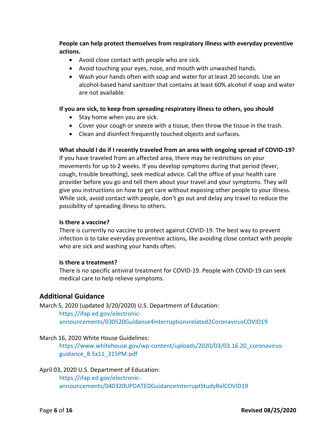**People can help protect themselves from respiratory illness with everyday preventive actions.**

- Avoid close contact with people who are sick.
- Avoid touching your eyes, nose, and mouth with unwashed hands.
- Wash your hands often with soap and water for at least 20 seconds. Use an alcohol-based hand sanitizer that contains at least 60% alcohol if soap and water are not available.

## **If you are sick, to keep from spreading respiratory illness to others, you should**

- Stay home when you are sick.
- Cover your cough or sneeze with a tissue, then throw the tissue in the trash.
- Clean and disinfect frequently touched objects and surfaces.

## **What should I do if I recently traveled from an area with ongoing spread of COVID-19?**

If you have traveled from an affected area, there may be restrictions on your movements for up to 2 weeks. If you develop symptoms during that period (fever, cough, trouble breathing), seek medical advice. Call the office of your health care provider before you go and tell them about your travel and your symptoms. They will give you instructions on how to get care without exposing other people to your illness. While sick, avoid contact with people, don't go out and delay any travel to reduce the possibility of spreading illness to others.

#### **Is there a vaccine?**

There is currently no vaccine to protect against COVID-19. The best way to prevent infection is to take everyday preventive actions, like avoiding close contact with people who are sick and washing your hands often.

## **Is there a treatment?**

There is no specific antiviral treatment for COVID-19. People with COVID-19 can seek medical care to help relieve symptoms.

## <span id="page-5-0"></span>**Additional Guidance**

March 5, 2020 (updated 3/20/2020) U.S. Department of Education: https://ifap.ed.gov/electronicannouncements/030520Guidance4interruptionsrelated2CoronavirusCOVID19

## March 16, 2020 White House Guidelines:

https://www.whitehouse.gov/wp-content/uploads/2020/03/03.16.20\_coronavirusguidance\_8.5x11\_315PM.pdf

#### April 03, 2020 U.S. Department of Education:

[https://ifap.ed.gov/electronic](https://ifap.ed.gov/electronic-announcements/040320UPDATEDGuidanceInterruptStudyRelCOVID19)[announcements/040320UPDATEDGuidanceInterruptStudyRelCOVID19](https://ifap.ed.gov/electronic-announcements/040320UPDATEDGuidanceInterruptStudyRelCOVID19)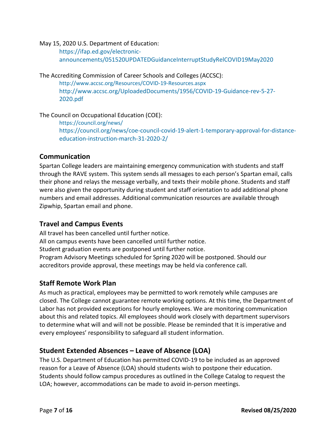#### May 15, 2020 U.S. Department of Education:

https://ifap.ed.gov/electronicannouncements/051520UPDATEDGuidanceInterruptStudyRelCOVID19May2020

The Accrediting Commission of Career Schools and Colleges (ACCSC):

<http://www.accsc.org/Resources/COVID-19-Resources.aspx> http://www.accsc.org/UploadedDocuments/1956/COVID-19-Guidance-rev-5-27- 2020.pdf

The Council on Occupational Education (COE):

<https://council.org/news/> [https://council.org/news/coe-council-covid-19-alert-1-temporary-approval-for-distance](https://council.org/news/coe-council-covid-19-alert-1-temporary-approval-for-distance-education-instruction-march-31-2020-2/)[education-instruction-march-31-2020-2/](https://council.org/news/coe-council-covid-19-alert-1-temporary-approval-for-distance-education-instruction-march-31-2020-2/)

## <span id="page-6-0"></span>**Communication**

Spartan College leaders are maintaining emergency communication with students and staff through the RAVE system. This system sends all messages to each person's Spartan email, calls their phone and relays the message verbally, and texts their mobile phone. Students and staff were also given the opportunity during student and staff orientation to add additional phone numbers and email addresses. Additional communication resources are available through Zipwhip, Spartan email and phone.

## <span id="page-6-1"></span>**Travel and Campus Events**

All travel has been cancelled until further notice. All on campus events have been cancelled until further notice. Student graduation events are postponed until further notice. Program Advisory Meetings scheduled for Spring 2020 will be postponed. Should our accreditors provide approval, these meetings may be held via conference call.

## <span id="page-6-2"></span>**Staff Remote Work Plan**

As much as practical, employees may be permitted to work remotely while campuses are closed. The College cannot guarantee remote working options. At this time, the Department of Labor has not provided exceptions for hourly employees. We are monitoring communication about this and related topics. All employees should work closely with department supervisors to determine what will and will not be possible. Please be reminded that It is imperative and every employees' responsibility to safeguard all student information.

## <span id="page-6-3"></span>**Student Extended Absences – Leave of Absence (LOA)**

The U.S. Department of Education has permitted COVID-19 to be included as an approved reason for a Leave of Absence (LOA) should students wish to postpone their education. Students should follow campus procedures as outlined in the College Catalog to request the LOA; however, accommodations can be made to avoid in-person meetings.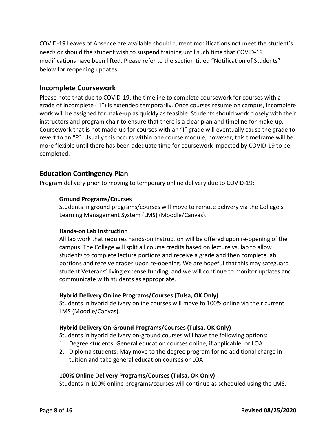COVID-19 Leaves of Absence are available should current modifications not meet the student's needs or should the student wish to suspend training until such time that COVID-19 modifications have been lifted. Please refer to the section titled "Notification of Students" below for reopening updates.

## <span id="page-7-0"></span>**Incomplete Coursework**

Please note that due to COVID-19, the timeline to complete coursework for courses with a grade of Incomplete ("I") is extended temporarily. Once courses resume on campus, incomplete work will be assigned for make-up as quickly as feasible. Students should work closely with their instructors and program chair to ensure that there is a clear plan and timeline for make-up. Coursework that is not made-up for courses with an "I" grade will eventually cause the grade to revert to an "F". Usually this occurs within one course module; however, this timeframe will be more flexible until there has been adequate time for coursework impacted by COVID-19 to be completed.

## <span id="page-7-1"></span>**Education Contingency Plan**

<span id="page-7-2"></span>Program delivery prior to moving to temporary online delivery due to COVID-19:

## **Ground Programs/Courses**

Students in ground programs/courses will move to remote delivery via the College's Learning Management System (LMS) (Moodle/Canvas).

## <span id="page-7-3"></span>**Hands-on Lab Instruction**

All lab work that requires hands-on instruction will be offered upon re-opening of the campus. The College will split all course credits based on lecture vs. lab to allow students to complete lecture portions and receive a grade and then complete lab portions and receive grades upon re-opening. We are hopeful that this may safeguard student Veterans' living expense funding, and we will continue to monitor updates and communicate with students as appropriate.

## <span id="page-7-4"></span>**Hybrid Delivery Online Programs/Courses (Tulsa, OK Only)**

Students in hybrid delivery online courses will move to 100% online via their current LMS (Moodle/Canvas).

## <span id="page-7-5"></span>**Hybrid Delivery On-Ground Programs/Courses (Tulsa, OK Only)**

Students in hybrid delivery on-ground courses will have the following options:

- 1. Degree students: General education courses online, if applicable, or LOA
- 2. Diploma students: May move to the degree program for no additional charge in tuition and take general education courses or LOA

## <span id="page-7-6"></span>**100% Online Delivery Programs/Courses (Tulsa, OK Only)**

Students in 100% online programs/courses will continue as scheduled using the LMS.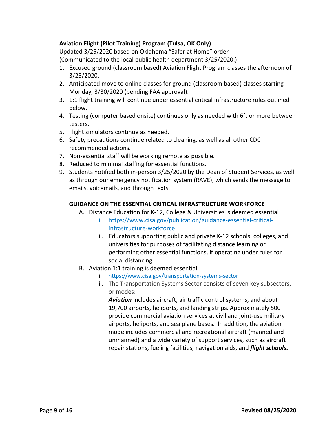## <span id="page-8-0"></span>**Aviation Flight (Pilot Training) Program (Tulsa, OK Only)**

Updated 3/25/2020 based on Oklahoma "Safer at Home" order (Communicated to the local public health department 3/25/2020.)

- 1. Excused ground (classroom based) Aviation Flight Program classes the afternoon of 3/25/2020.
- 2. Anticipated move to online classes for ground (classroom based) classes starting Monday, 3/30/2020 (pending FAA approval).
- 3. 1:1 flight training will continue under essential critical infrastructure rules outlined below.
- 4. Testing (computer based onsite) continues only as needed with 6ft or more between testers.
- 5. Flight simulators continue as needed.
- 6. Safety precautions continue related to cleaning, as well as all other CDC recommended actions.
- 7. Non-essential staff will be working remote as possible.
- 8. Reduced to minimal staffing for essential functions.
- 9. Students notified both in-person 3/25/2020 by the Dean of Student Services, as well as through our emergency notification system (RAVE), which sends the message to emails, voicemails, and through texts.

## **GUIDANCE ON THE ESSENTIAL CRITICAL INFRASTRUCTURE WORKFORCE**

- A. Distance Education for K-12, College & Universities is deemed essential
	- i. https://www.cisa.gov/publication/guidance-essential-criticalinfrastructure-workforce
	- ii. Educators supporting public and private K-12 schools, colleges, and universities for purposes of facilitating distance learning or performing other essential functions, if operating under rules for social distancing
- B. Aviation 1:1 training is deemed essential
	- i. https://www.cisa.gov/transportation-systems-sector
	- ii. The Transportation Systems Sector consists of seven key subsectors, or modes:

*Aviation* includes aircraft, air traffic control systems, and about 19,700 airports, heliports, and landing strips. Approximately 500 provide commercial aviation services at civil and joint-use military airports, heliports, and sea plane bases. In addition, the aviation mode includes commercial and recreational aircraft (manned and unmanned) and a wide variety of support services, such as aircraft repair stations, fueling facilities, navigation aids, and *flight schools***.**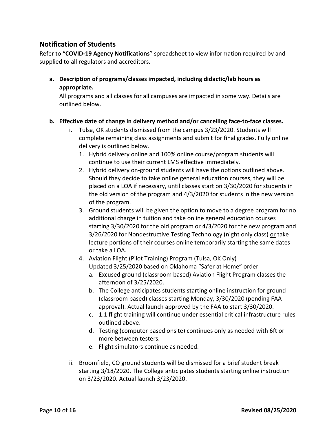## <span id="page-9-0"></span>**Notification of Students**

Refer to "**COVID-19 Agency Notifications**" spreadsheet to view information required by and supplied to all regulators and accreditors.

**a. Description of programs/classes impacted, including didactic/lab hours as appropriate.**

All programs and all classes for all campuses are impacted in some way. Details are outlined below.

## **b. Effective date of change in delivery method and/or cancelling face-to-face classes.**

- i. Tulsa, OK students dismissed from the campus 3/23/2020. Students will complete remaining class assignments and submit for final grades. Fully online delivery is outlined below.
	- 1. Hybrid delivery online and 100% online course/program students will continue to use their current LMS effective immediately.
	- 2. Hybrid delivery on-ground students will have the options outlined above. Should they decide to take online general education courses, they will be placed on a LOA if necessary, until classes start on 3/30/2020 for students in the old version of the program and 4/3/2020 for students in the new version of the program.
	- 3. Ground students will be given the option to move to a degree program for no additional charge in tuition and take online general education courses starting 3/30/2020 for the old program or 4/3/2020 for the new program and 3/26/2020 for Nondestructive Testing Technology (night only class) or take lecture portions of their courses online temporarily starting the same dates or take a LOA.
	- 4. Aviation Flight (Pilot Training) Program (Tulsa, OK Only) Updated 3/25/2020 based on Oklahoma "Safer at Home" order
		- a. Excused ground (classroom based) Aviation Flight Program classes the afternoon of 3/25/2020.
		- b. The College anticipates students starting online instruction for ground (classroom based) classes starting Monday, 3/30/2020 (pending FAA approval). Actual launch approved by the FAA to start 3/30/2020.
		- c. 1:1 flight training will continue under essential critical infrastructure rules outlined above.
		- d. Testing (computer based onsite) continues only as needed with 6ft or more between testers.
		- e. Flight simulators continue as needed.
- ii. Broomfield, CO ground students will be dismissed for a brief student break starting 3/18/2020. The College anticipates students starting online instruction on 3/23/2020. Actual launch 3/23/2020.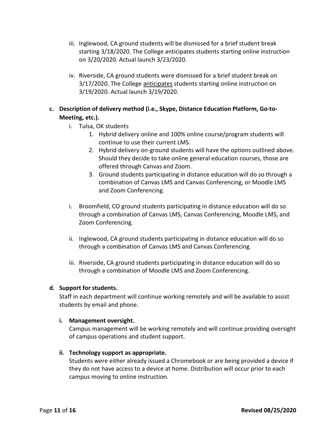- iii. Inglewood, CA ground students will be dismissed for a brief student break starting 3/18/2020. The College anticipates students starting online instruction on 3/20/2020. Actual launch 3/23/2020.
- iv. Riverside, CA ground students were dismissed for a brief student break on 3/17/2020. The College anticipates students starting online instruction on 3/19/2020. Actual launch 3/19/2020.
- **c. Description of delivery method (i.e., Skype, Distance Education Platform, Go-to-Meeting, etc.).**
	- i. Tulsa, OK students
		- 1. Hybrid delivery online and 100% online course/program students will continue to use their current LMS.
		- 2. Hybrid delivery on-ground students will have the options outlined above. Should they decide to take online general education courses, those are offered through Canvas and Zoom.
		- 3. Ground students participating in distance education will do so through a combination of Canvas LMS and Canvas Conferencing, or Moodle LMS and Zoom Conferencing.
	- i. Broomfield, CO ground students participating in distance education will do so through a combination of Canvas LMS, Canvas Conferencing, Moodle LMS, and Zoom Conferencing.
	- ii. Inglewood, CA ground students participating in distance education will do so through a combination of Canvas LMS and Canvas Conferencing.
	- iii. Riverside, CA ground students participating in distance education will do so through a combination of Moodle LMS and Zoom Conferencing.

## **d. Support for students.**

Staff in each department will continue working remotely and will be available to assist students by email and phone.

## **i. Management oversight.**

Campus management will be working remotely and will continue providing oversight of campus operations and student support.

## **ii. Technology support as appropriate.**

Students were either already issued a Chromebook or are being provided a device if they do not have access to a device at home. Distribution will occur prior to each campus moving to online instruction.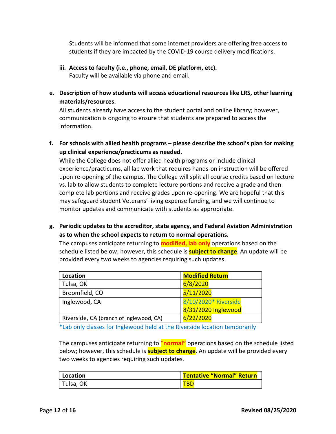Students will be informed that some internet providers are offering free access to students if they are impacted by the COVID-19 course delivery modifications.

**iii. Access to faculty (i.e., phone, email, DE platform, etc).**

Faculty will be available via phone and email.

**e. Description of how students will access educational resources like LRS, other learning materials/resources.**

All students already have access to the student portal and online library; however, communication is ongoing to ensure that students are prepared to access the information.

**f. For schools with allied health programs – please describe the school's plan for making up clinical experience/practicums as needed.** 

While the College does not offer allied health programs or include clinical experience/practicums, all lab work that requires hands-on instruction will be offered upon re-opening of the campus. The College will split all course credits based on lecture vs. lab to allow students to complete lecture portions and receive a grade and then complete lab portions and receive grades upon re-opening. We are hopeful that this may safeguard student Veterans' living expense funding, and we will continue to monitor updates and communicate with students as appropriate.

**g. Periodic updates to the accreditor, state agency, and Federal Aviation Administration as to when the school expects to return to normal operations.** 

The campuses anticipate returning to **modified, lab only** operations based on the schedule listed below; however, this schedule is **subject to change**. An update will be provided every two weeks to agencies requiring such updates.

| Location                                | <b>Modified Return</b> |
|-----------------------------------------|------------------------|
| Tulsa, OK                               | 6/8/2020               |
| Broomfield, CO                          | 5/11/2020              |
| Inglewood, CA                           | 8/10/2020* Riverside   |
|                                         | 8/31/2020 Inglewood    |
| Riverside, CA (branch of Inglewood, CA) | 6/22/2020              |

**\***Lab only classes for Inglewood held at the Riverside location temporarily

The campuses anticipate returning to "**normal"** operations based on the schedule listed below; however, this schedule is **subject to change**. An update will be provided every two weeks to agencies requiring such updates.

| Location  | <b>Tentative "Normal" Return</b> |
|-----------|----------------------------------|
| Tulsa, OK | TBD                              |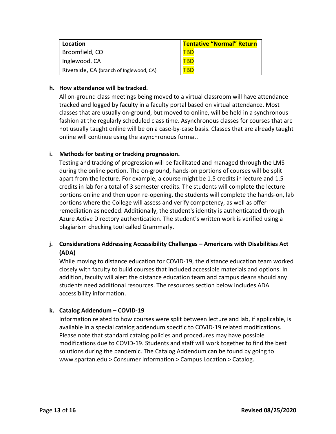| Location                                | <b>Tentative "Normal" Return</b> |
|-----------------------------------------|----------------------------------|
| Broomfield, CO                          | TBE                              |
| Inglewood, CA                           |                                  |
| Riverside, CA (branch of Inglewood, CA) | TВГ                              |

## **h. How attendance will be tracked.**

All on-ground class meetings being moved to a virtual classroom will have attendance tracked and logged by faculty in a faculty portal based on virtual attendance. Most classes that are usually on-ground, but moved to online, will be held in a synchronous fashion at the regularly scheduled class time. Asynchronous classes for courses that are not usually taught online will be on a case-by-case basis. Classes that are already taught online will continue using the asynchronous format.

## **i. Methods for testing or tracking progression.**

Testing and tracking of progression will be facilitated and managed through the LMS during the online portion. The on-ground, hands-on portions of courses will be split apart from the lecture. For example, a course might be 1.5 credits in lecture and 1.5 credits in lab for a total of 3 semester credits. The students will complete the lecture portions online and then upon re-opening, the students will complete the hands-on, lab portions where the College will assess and verify competency, as well as offer remediation as needed. Additionally, the student's identity is authenticated through Azure Active Directory authentication. The student's written work is verified using a plagiarism checking tool called Grammarly.

## **j. Considerations Addressing Accessibility Challenges – Americans with Disabilities Act (ADA)**

While moving to distance education for COVID-19, the distance education team worked closely with faculty to build courses that included accessible materials and options. In addition, faculty will alert the distance education team and campus deans should any students need additional resources. The resources section below includes ADA accessibility information.

## **k. Catalog Addendum – COVID-19**

Information related to how courses were split between lecture and lab, if applicable, is available in a special catalog addendum specific to COVID-19 related modifications. Please note that standard catalog policies and procedures may have possible modifications due to COVID-19. Students and staff will work together to find the best solutions during the pandemic. The Catalog Addendum can be found by going to www.spartan.edu > Consumer Information > Campus Location > Catalog.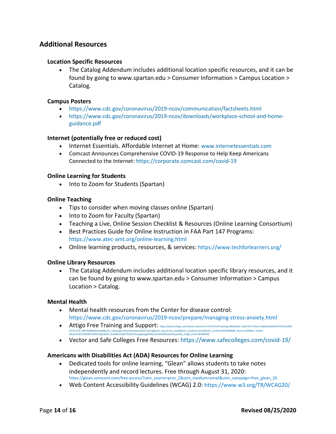## <span id="page-13-0"></span>**Additional Resources**

#### **Location Specific Resources**

• The Catalog Addendum includes additional location specific resources, and it can be found by going to www.spartan.edu > Consumer Information > Campus Location > Catalog.

#### **Campus Posters**

- https://www.cdc.gov/coronavirus/2019-ncov/communication/factsheets.html
- https://www.cdc.gov/coronavirus/2019-ncov/downloads/workplace-school-and-homeguidance.pdf

#### **Internet (potentially free or reduced cost)**

- Internet Essentials. Affordable Internet at Home: www.internetessentials.com
- Comcast Announces Comprehensive COVID-19 Response to Help Keep Americans Connected to the Internet:<https://corporate.comcast.com/covid-19>

#### **Online Learning for Students**

• Into to Zoom for Students (Spartan)

#### **Online Teaching**

- Tips to consider when moving classes online (Spartan)
- Into to Zoom for Faculty (Spartan)
- Teaching a Live, Online Session Checklist & Resources (Online Learning Consortium)
- Best Practices Guide for Online Instruction in FAA Part 147 Programs: https://www.atec-amt.org/online-learning.html
- Online learning products, resources, & services[: https://www.techforlearners.org/](https://www.techforlearners.org/)

#### **Online Library Resources**

• The Catalog Addendum includes additional location specific library resources, and it can be found by going to www.spartan.edu > Consumer Information > Campus Location > Catalog.

#### **Mental Health**

- Mental health resources from the Center for disease control: https://www.cdc.gov/coronavirus/2019-ncov/prepare/managing-stress-anxiety.html
- Attigo Free Training and Support: https://www.attigo.com/smart-sessions-0-0-0?hsCtaTracking=83cb9c0a-13e9-437c-81a3-1e9bd1de69e3%7Cf5ce2440 b17a-473c-affd-6bd6b05eeae9&utm\_campaign=SmartSessions%20Training&utm\_source=hs\_email&utm\_medium=email&utm\_content=85300469&\_hsenc=p2ANqtz--nZ2Ot-<br>t8UamUSETSCkDNF1AFbC7jljGw6IJY\_KaHBRvnKyKT0lvQU7Auuegleegy4TRyF2mGV4OKGw543
- Vector and Safe Colleges Free Resources: https://www.safecolleges.com/covid-19/

#### **Americans with Disabilities Act (ADA) Resources for Online Learning**

- Dedicated tools for online learning, "Glean" allows students to take notes independently and record lectures. Free through August 31, 2020: [https://glean.sonocent.com/free-access/?utm\\_source=pros\\_2&utm\\_medium=email&utm\\_campaign=free\\_glean\\_20](https://glean.sonocent.com/free-access/?utm_source=pros_2&utm_medium=email&utm_campaign=free_glean_20)
- Web Content Accessibility Guidelines (WCAG) 2.0: <https://www.w3.org/TR/WCAG20/>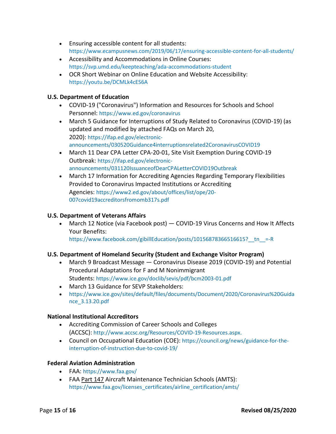- Ensuring accessible content for all students: <https://www.ecampusnews.com/2019/06/17/ensuring-accessible-content-for-all-students/>
- Accessibility and Accommodations in Online Courses: <https://svp.umd.edu/keepteaching/ada-accommodations-student>
- OCR Short Webinar on Online Education and Website Accessibility: https://youtu.be/DCMLk4cES6A

## **U.S. Department of Education**

- COVID-19 ("Coronavirus") Information and Resources for Schools and School Personnel: https://www.ed.gov/coronavirus
- March 5 Guidance for Interruptions of Study Related to Coronavirus (COVID-19) (as updated and modified by attached FAQs on March 20, 2020): [https://ifap.ed.gov/electronic](https://ifap.ed.gov/electronic-announcements/030520Guidance4interruptionsrelated2CoronavirusCOVID19)[announcements/030520Guidance4interruptionsrelated2CoronavirusCOVID19](https://ifap.ed.gov/electronic-announcements/030520Guidance4interruptionsrelated2CoronavirusCOVID19)
- March 11 Dear CPA Letter CPA-20-01, Site Visit Exemption During COVID-19 Outbreak: [https://ifap.ed.gov/electronic](https://ifap.ed.gov/electronic-announcements/031120IssuanceofDearCPALetterCOVID19Outbreak)[announcements/031120IssuanceofDearCPALetterCOVID19Outbreak](https://ifap.ed.gov/electronic-announcements/031120IssuanceofDearCPALetterCOVID19Outbreak)
- March 17 Information for Accrediting Agencies Regarding Temporary Flexibilities Provided to Coronavirus Impacted Institutions or Accrediting Agencies: [https://www2.ed.gov/about/offices/list/ope/20-](https://www2.ed.gov/about/offices/list/ope/20-007covid19accreditorsfromomb317s.pdf) [007covid19accreditorsfromomb317s.pdf](https://www2.ed.gov/about/offices/list/ope/20-007covid19accreditorsfromomb317s.pdf)

## **U.S. Department of Veterans Affairs**

• March 12 Notice (via Facebook post) — COVID-19 Virus Concerns and How It Affects Your Benefits:

https://www.facebook.com/gibillEducation/posts/10156878366516615?\_tn\_=-R

## **U.S. Department of Homeland Security (Student and Exchange Visitor Program)**

- March 9 Broadcast Message Coronavirus Disease 2019 (COVID-19) and Potential Procedural Adaptations for F and M Nonimmigrant Students: <https://www.ice.gov/doclib/sevis/pdf/bcm2003-01.pdf>
- March 13 Guidance for SEVP Stakeholders:
- [https://www.ice.gov/sites/default/files/documents/Document/2020/Coronavirus%20Guida](https://www.ice.gov/sites/default/files/documents/Document/2020/Coronavirus%20Guidance_3.13.20.pdf) [nce\\_3.13.20.pdf](https://www.ice.gov/sites/default/files/documents/Document/2020/Coronavirus%20Guidance_3.13.20.pdf)

## **National Institutional Accreditors**

- Accrediting Commission of Career Schools and Colleges (ACCSC): [http://www.accsc.org/Resources/COVID-19-Resources.aspx.](http://www.accsc.org/Resources/COVID-19-Resources.aspx)
- Council on Occupational Education (COE): [https://council.org/news/guidance-for-the](https://council.org/news/guidance-for-the-interruption-of-instruction-due-to-covid-19/)[interruption-of-instruction-due-to-covid-19/](https://council.org/news/guidance-for-the-interruption-of-instruction-due-to-covid-19/)

## **Federal Aviation Administration**

- FAA:<https://www.faa.gov/>
- FAA Part 147 Aircraft Maintenance Technician Schools (AMTS): https://www.faa.gov/licenses\_certificates/airline\_certification/amts/